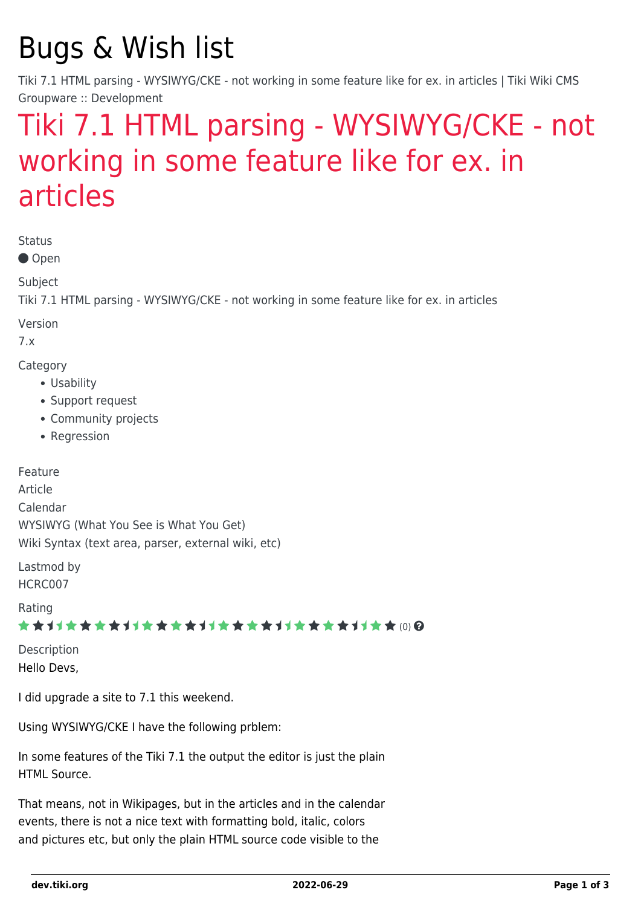# Bugs & Wish list

Tiki 7.1 HTML parsing - WYSIWYG/CKE - not working in some feature like for ex. in articles | Tiki Wiki CMS Groupware :: Development

## [Tiki 7.1 HTML parsing - WYSIWYG/CKE - not](https://dev.tiki.org/item3963-Tiki-7-1-HTML-parsing-WYSIWYG-CKE-not-working-in-some-feature-like-for-ex-in-articles) [working in some feature like for ex. in](https://dev.tiki.org/item3963-Tiki-7-1-HTML-parsing-WYSIWYG-CKE-not-working-in-some-feature-like-for-ex-in-articles) [articles](https://dev.tiki.org/item3963-Tiki-7-1-HTML-parsing-WYSIWYG-CKE-not-working-in-some-feature-like-for-ex-in-articles)

Status

● Open

Subject

Tiki 7.1 HTML parsing - WYSIWYG/CKE - not working in some feature like for ex. in articles

Version

7.x

Category

- Usability
- Support request
- Community projects
- Regression

Feature Article Calendar WYSIWYG (What You See is What You Get) Wiki Syntax (text area, parser, external wiki, etc)

Lastmod by HCRC007

Rating

#### ★★→★★★★→★★★★★→★★★★★★★★★★★★★★ (0) @

Description Hello Devs,

I did upgrade a site to 7.1 this weekend.

Using WYSIWYG/CKE I have the following prblem:

In some features of the Tiki 7.1 the output the editor is just the plain HTML Source.

That means, not in Wikipages, but in the articles and in the calendar events, there is not a nice text with formatting bold, italic, colors and pictures etc, but only the plain HTML source code visible to the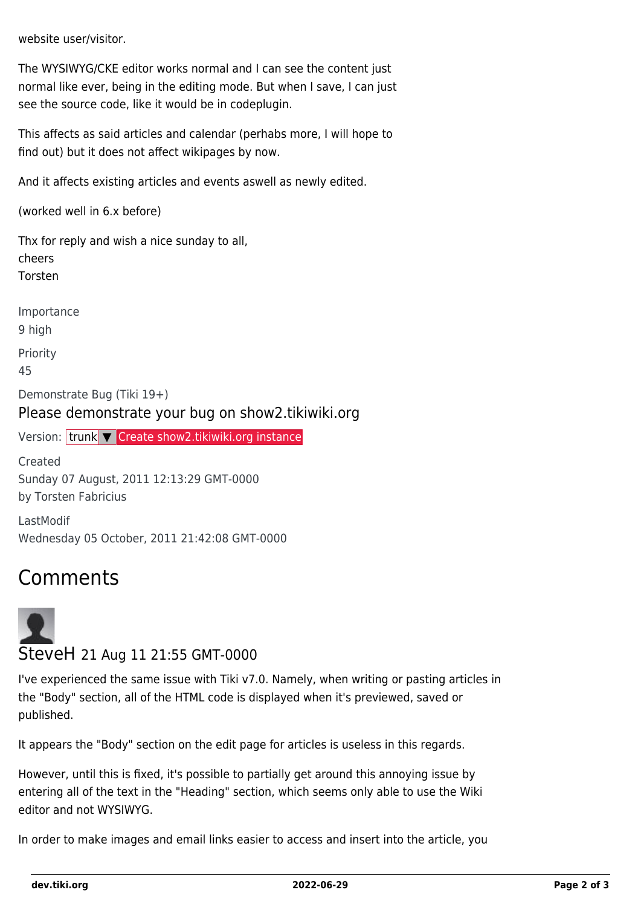website user/visitor.

The WYSIWYG/CKE editor works normal and I can see the content just normal like ever, being in the editing mode. But when I save, I can just see the source code, like it would be in codeplugin.

This affects as said articles and calendar (perhabs more, I will hope to find out) but it does not affect wikipages by now.

And it affects existing articles and events aswell as newly edited.

(worked well in 6.x before)

Thx for reply and wish a nice sunday to all, cheers Torsten

Importance 9 high Priority 45 Demonstrate Bug (Tiki 19+)

Please demonstrate your bug on show2.tikiwiki.org

Version: trunk ▼ [Create show2.tikiwiki.org instance](#page--1-0)

Created Sunday 07 August, 2011 12:13:29 GMT-0000 by Torsten Fabricius

LastModif Wednesday 05 October, 2011 21:42:08 GMT-0000

#### Comments



#### SteveH 21 Aug 11 21:55 GMT-0000

I've experienced the same issue with Tiki v7.0. Namely, when writing or pasting articles in the "Body" section, all of the HTML code is displayed when it's previewed, saved or published.

It appears the "Body" section on the edit page for articles is useless in this regards.

However, until this is fixed, it's possible to partially get around this annoying issue by entering all of the text in the "Heading" section, which seems only able to use the Wiki editor and not WYSIWYG.

In order to make images and email links easier to access and insert into the article, you